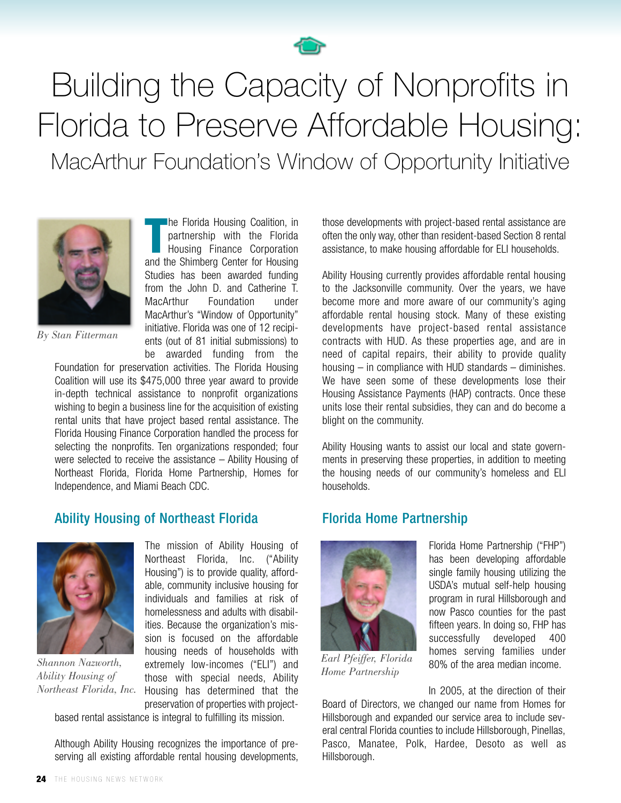

# Building the Capacity of Nonprofits in Florida to Preserve Affordable Housing: MacArthur Foundation's Window of Opportunity Initiative



**The Florida Housing Coalition, in partnership with the Florida<br>
Housing Finance Corporation<br>
and the Shimberg Center for Housing** partnership with the Florida Housing Finance Corporation Studies has been awarded funding from the John D. and Catherine T. MacArthur Foundation under MacArthur's "Window of Opportunity" initiative. Florida was one of 12 recipients (out of 81 initial submissions) to be awarded funding from the

he Florida Housing Coalition, in

*By Stan Fitterman*

Foundation for preservation activities. The Florida Housing Coalition will use its \$475,000 three year award to provide in-depth technical assistance to nonprofit organizations wishing to begin a business line for the acquisition of existing rental units that have project based rental assistance. The Florida Housing Finance Corporation handled the process for selecting the nonprofits. Ten organizations responded; four were selected to receive the assistance – Ability Housing of Northeast Florida, Florida Home Partnership, Homes for Independence, and Miami Beach CDC.

#### Ability Housing of Northeast Florida



*Shannon Nazworth, Ability Housing of*

The mission of Ability Housing of Northeast Florida, Inc. ("Ability Housing") is to provide quality, affordable, community inclusive housing for individuals and families at risk of homelessness and adults with disabilities. Because the organization's mission is focused on the affordable housing needs of households with extremely low-incomes ("ELI") and those with special needs, Ability Northeast Florida, Inc. Housing has determined that the preservation of properties with project-

based rental assistance is integral to fulfilling its mission.

Although Ability Housing recognizes the importance of preserving all existing affordable rental housing developments, those developments with project-based rental assistance are often the only way, other than resident-based Section 8 rental assistance, to make housing affordable for ELI households.

Ability Housing currently provides affordable rental housing to the Jacksonville community. Over the years, we have become more and more aware of our community's aging affordable rental housing stock. Many of these existing developments have project-based rental assistance contracts with HUD. As these properties age, and are in need of capital repairs, their ability to provide quality housing – in compliance with HUD standards – diminishes. We have seen some of these developments lose their Housing Assistance Payments (HAP) contracts. Once these units lose their rental subsidies, they can and do become a blight on the community.

Ability Housing wants to assist our local and state governments in preserving these properties, in addition to meeting the housing needs of our community's homeless and ELI households.

## Florida Home Partnership



*Earl Pfeiffer, Florida Home Partnership*

Florida Home Partnership ("FHP") has been developing affordable single family housing utilizing the USDA's mutual self-help housing program in rural Hillsborough and now Pasco counties for the past fifteen years. In doing so, FHP has successfully developed 400 homes serving families under 80% of the area median income.

In 2005, at the direction of their Board of Directors, we changed our name from Homes for Hillsborough and expanded our service area to include several central Florida counties to include Hillsborough, Pinellas, Pasco, Manatee, Polk, Hardee, Desoto as well as Hillsborough.